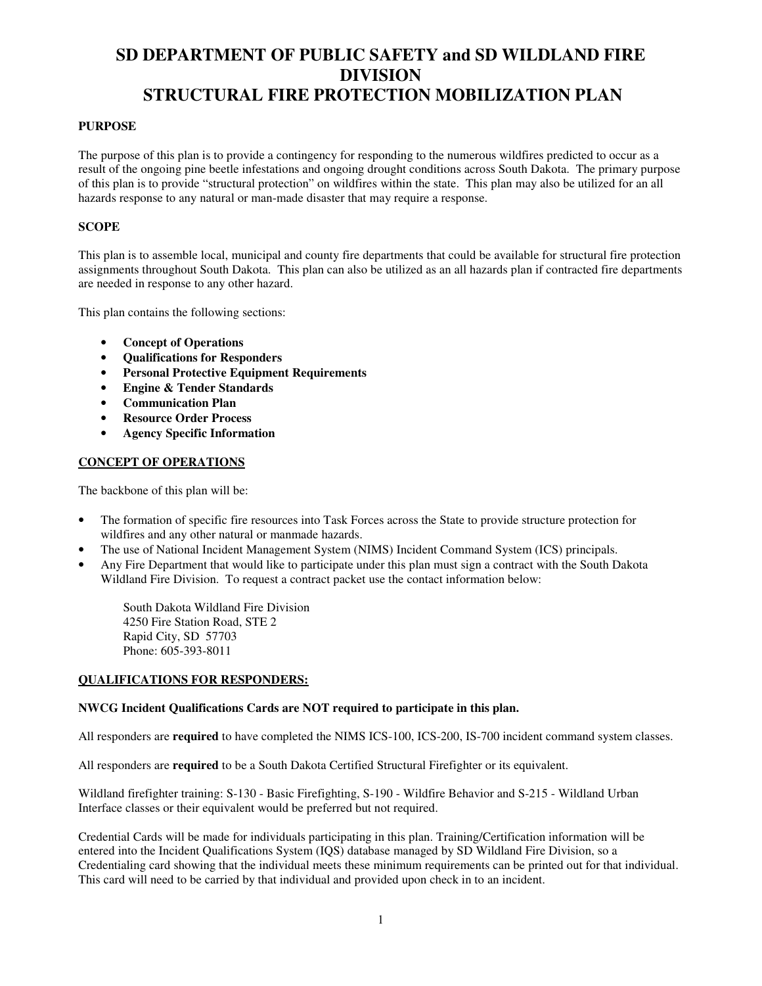## **PURPOSE**

The purpose of this plan is to provide a contingency for responding to the numerous wildfires predicted to occur as a result of the ongoing pine beetle infestations and ongoing drought conditions across South Dakota. The primary purpose of this plan is to provide "structural protection" on wildfires within the state. This plan may also be utilized for an all hazards response to any natural or man-made disaster that may require a response.

## **SCOPE**

This plan is to assemble local, municipal and county fire departments that could be available for structural fire protection assignments throughout South Dakota. This plan can also be utilized as an all hazards plan if contracted fire departments are needed in response to any other hazard.

This plan contains the following sections:

- **Concept of Operations**
- **Qualifications for Responders**
- **Personal Protective Equipment Requirements**
- **Engine & Tender Standards**
- **Communication Plan**
- **Resource Order Process**
- **Agency Specific Information**

## **CONCEPT OF OPERATIONS**

The backbone of this plan will be:

- The formation of specific fire resources into Task Forces across the State to provide structure protection for wildfires and any other natural or manmade hazards.
- The use of National Incident Management System (NIMS) Incident Command System (ICS) principals.
- Any Fire Department that would like to participate under this plan must sign a contract with the South Dakota Wildland Fire Division. To request a contract packet use the contact information below:

South Dakota Wildland Fire Division 4250 Fire Station Road, STE 2 Rapid City, SD 57703 Phone: 605-393-8011

## **QUALIFICATIONS FOR RESPONDERS:**

## **NWCG Incident Qualifications Cards are NOT required to participate in this plan.**

All responders are **required** to have completed the NIMS ICS-100, ICS-200, IS-700 incident command system classes.

All responders are **required** to be a South Dakota Certified Structural Firefighter or its equivalent.

Wildland firefighter training: S-130 - Basic Firefighting, S-190 - Wildfire Behavior and S-215 - Wildland Urban Interface classes or their equivalent would be preferred but not required.

Credential Cards will be made for individuals participating in this plan. Training/Certification information will be entered into the Incident Qualifications System (IQS) database managed by SD Wildland Fire Division, so a Credentialing card showing that the individual meets these minimum requirements can be printed out for that individual. This card will need to be carried by that individual and provided upon check in to an incident.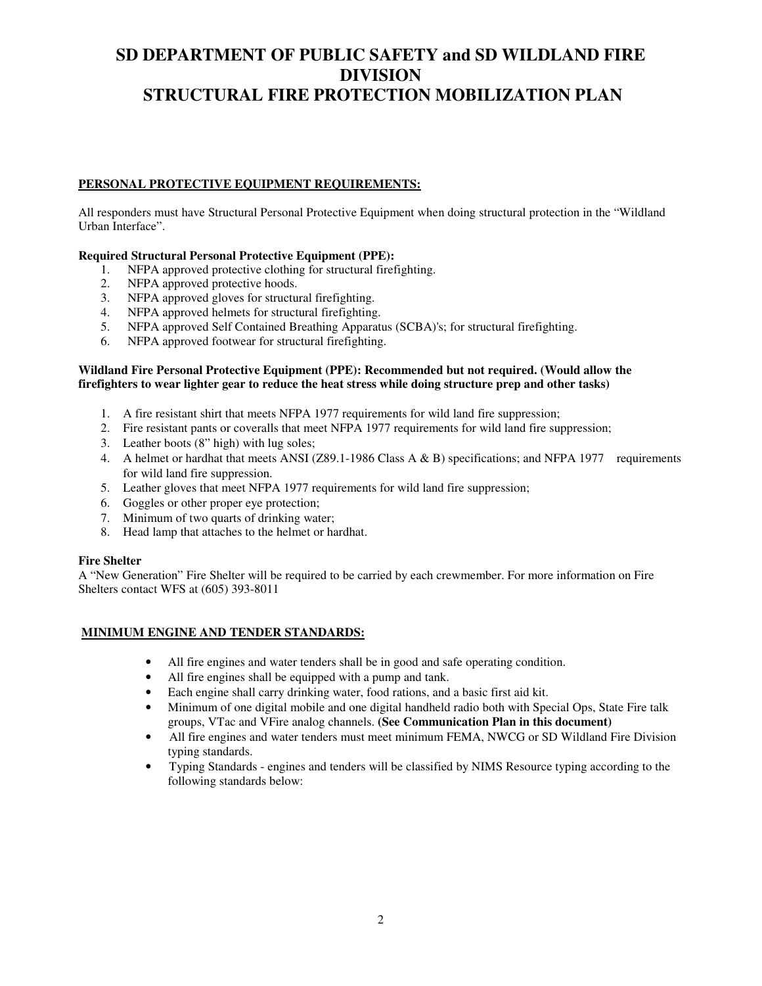## **PERSONAL PROTECTIVE EQUIPMENT REQUIREMENTS:**

All responders must have Structural Personal Protective Equipment when doing structural protection in the "Wildland Urban Interface".

## **Required Structural Personal Protective Equipment (PPE):**

- 1. NFPA approved protective clothing for structural firefighting.
- 2. NFPA approved protective hoods.
- 3. NFPA approved gloves for structural firefighting.
- 4. NFPA approved helmets for structural firefighting.
- 5. NFPA approved Self Contained Breathing Apparatus (SCBA)'s; for structural firefighting.
- 6. NFPA approved footwear for structural firefighting.

### **Wildland Fire Personal Protective Equipment (PPE): Recommended but not required. (Would allow the firefighters to wear lighter gear to reduce the heat stress while doing structure prep and other tasks)**

- 1. A fire resistant shirt that meets NFPA 1977 requirements for wild land fire suppression;
- 2. Fire resistant pants or coveralls that meet NFPA 1977 requirements for wild land fire suppression;
- 3. Leather boots (8" high) with lug soles;
- 4. A helmet or hardhat that meets ANSI (Z89.1-1986 Class A & B) specifications; and NFPA 1977 requirements for wild land fire suppression.
- 5. Leather gloves that meet NFPA 1977 requirements for wild land fire suppression;
- 6. Goggles or other proper eye protection;
- 7. Minimum of two quarts of drinking water;
- 8. Head lamp that attaches to the helmet or hardhat.

## **Fire Shelter**

A "New Generation" Fire Shelter will be required to be carried by each crewmember. For more information on Fire Shelters contact WFS at (605) 393-8011

## **MINIMUM ENGINE AND TENDER STANDARDS:**

- All fire engines and water tenders shall be in good and safe operating condition.
- All fire engines shall be equipped with a pump and tank.
- Each engine shall carry drinking water, food rations, and a basic first aid kit.
- Minimum of one digital mobile and one digital handheld radio both with Special Ops, State Fire talk groups, VTac and VFire analog channels. **(See Communication Plan in this document)**
- All fire engines and water tenders must meet minimum FEMA, NWCG or SD Wildland Fire Division typing standards.
- Typing Standards engines and tenders will be classified by NIMS Resource typing according to the following standards below: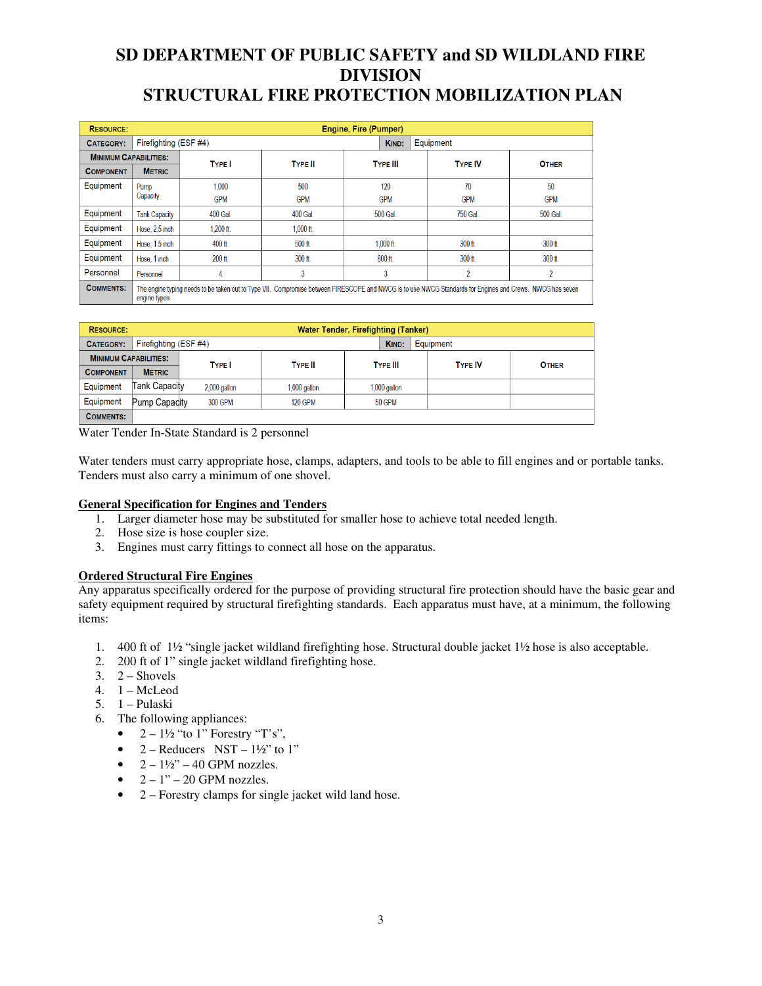| <b>RESOURCE:</b>             | Engine, Fire (Pumper)                                                                                                                                                      |                                             |                |                 |                |                |  |  |
|------------------------------|----------------------------------------------------------------------------------------------------------------------------------------------------------------------------|---------------------------------------------|----------------|-----------------|----------------|----------------|--|--|
| <b>CATEGORY:</b>             |                                                                                                                                                                            | Firefighting (ESF #4)<br>Equipment<br>KIND: |                |                 |                |                |  |  |
| <b>MINIMUM CAPABILITIES:</b> |                                                                                                                                                                            | <b>TYPE</b>                                 | <b>TYPE II</b> | <b>TYPE III</b> | <b>TYPE IV</b> | <b>OTHER</b>   |  |  |
| <b>COMPONENT</b>             | <b>METRIC</b>                                                                                                                                                              |                                             |                |                 |                |                |  |  |
| Equipment                    | Pump                                                                                                                                                                       | 1.000                                       | 500            | 120             | 70             | 50             |  |  |
|                              | Capacity                                                                                                                                                                   | <b>GPM</b>                                  | <b>GPM</b>     | <b>GPM</b>      | <b>GPM</b>     | <b>GPM</b>     |  |  |
| Equipment                    | <b>Tank Capacity</b>                                                                                                                                                       | 400 Gal.                                    | 400 Gal.       | 500 Gal.        | 750 Gal.       | 500 Gal.       |  |  |
| Equipment                    | Hose, 2.5 inch                                                                                                                                                             | $1.200$ ft.                                 | $1,000$ ft.    |                 |                |                |  |  |
| Equipment                    | Hose, 1.5 inch                                                                                                                                                             | 400 ft.                                     | 500 ft.        | $1.000$ ft.     | 300 ft.        | 300 ft.        |  |  |
| Equipment                    | Hose, 1 inch                                                                                                                                                               | $200$ ft                                    | $300$ ft       | $800$ ft        | 300 ft.        | $300$ ft       |  |  |
| Personnel                    | Personnel                                                                                                                                                                  | 4                                           | 3              | 3               | $\overline{2}$ | $\overline{2}$ |  |  |
| <b>COMMENTS:</b>             | The engine typing needs to be taken out to Type VII. Compromise between FIRESCOPE and NWCG is to use NWCG Standards for Engines and Crews. NWCG has seven<br>engine types. |                                             |                |                 |                |                |  |  |

| <b>RESOURCE:</b>             | <b>Water Tender, Firefighting (Tanker)</b> |                |                |                 |  |           |                |              |
|------------------------------|--------------------------------------------|----------------|----------------|-----------------|--|-----------|----------------|--------------|
| <b>CATEGORY:</b>             | Firefighting (ESF #4)                      |                |                |                 |  | Equipment |                |              |
| <b>MINIMUM CAPABILITIES:</b> |                                            | <b>TYPE</b>    | <b>TYPE II</b> | <b>TYPE III</b> |  |           | <b>TYPE IV</b> | <b>OTHER</b> |
| <b>COMPONENT</b>             | <b>METRIC</b>                              |                |                |                 |  |           |                |              |
| Equipment                    | Tank Capacity                              | $2,000$ gallon | $1,000$ gallon | $1,000$ gallon  |  |           |                |              |
| Equipment                    | Pump Capadity                              | 300 GPM        | <b>120 GPM</b> | <b>50 GPM</b>   |  |           |                |              |
| <b>COMMENTS:</b>             |                                            |                |                |                 |  |           |                |              |

Water Tender In-State Standard is 2 personnel

Water tenders must carry appropriate hose, clamps, adapters, and tools to be able to fill engines and or portable tanks. Tenders must also carry a minimum of one shovel.

#### **General Specification for Engines and Tenders**

- 1. Larger diameter hose may be substituted for smaller hose to achieve total needed length.
- 2. Hose size is hose coupler size.
- 3. Engines must carry fittings to connect all hose on the apparatus.

## **Ordered Structural Fire Engines**

Any apparatus specifically ordered for the purpose of providing structural fire protection should have the basic gear and safety equipment required by structural firefighting standards. Each apparatus must have, at a minimum, the following items:

- 1. 400 ft of 1½ "single jacket wildland firefighting hose. Structural double jacket 1½ hose is also acceptable.
- 2. 200 ft of 1" single jacket wildland firefighting hose.
- $3. \quad 2$  Shovels
- 4. 1 McLeod
- 5. 1 Pulaski
- 6. The following appliances:
	- $2 1\frac{1}{2}$  "to 1" Forestry "T's",
	- 2 Reducers NST  $1\frac{1}{2}$ " to 1"
	- $2 1\frac{1}{2}$  40 GPM nozzles.
	- $2 1" 20$  GPM nozzles.
	- 2 Forestry clamps for single jacket wild land hose.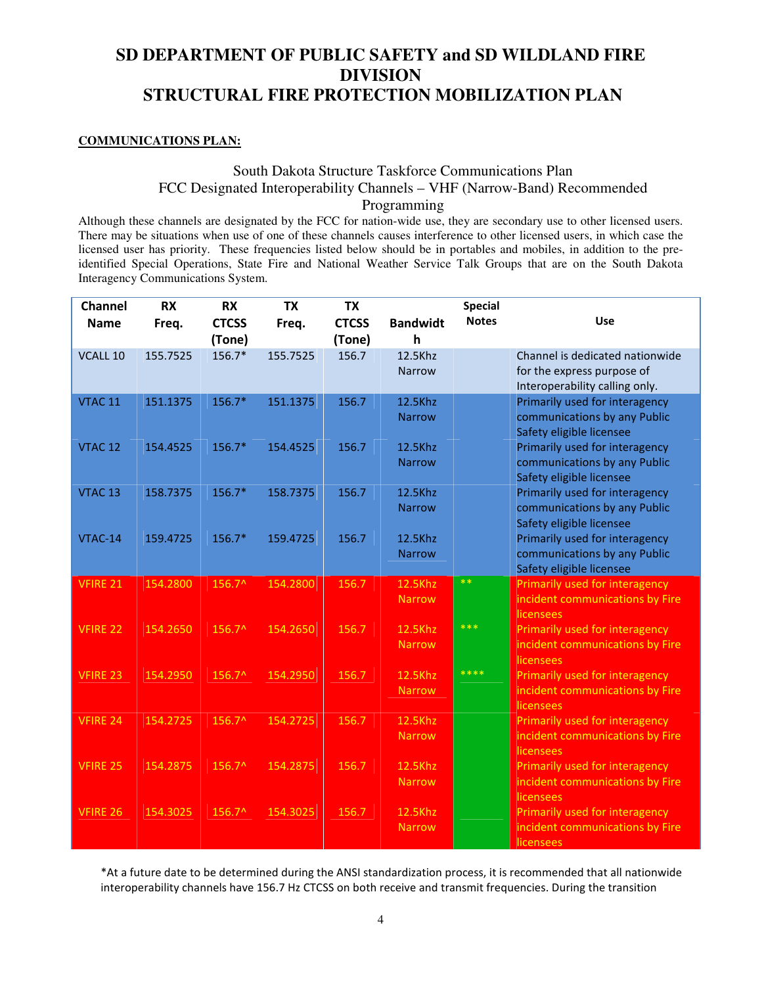## **COMMUNICATIONS PLAN:**

## South Dakota Structure Taskforce Communications Plan FCC Designated Interoperability Channels – VHF (Narrow-Band) Recommended Programming

Although these channels are designated by the FCC for nation-wide use, they are secondary use to other licensed users. There may be situations when use of one of these channels causes interference to other licensed users, in which case the licensed user has priority. These frequencies listed below should be in portables and mobiles, in addition to the preidentified Special Operations, State Fire and National Weather Service Talk Groups that are on the South Dakota Interagency Communications System.

| <b>Channel</b>     | <b>RX</b> | <b>RX</b>              | <b>TX</b> | <b>TX</b>              |                          | <b>Special</b> |                                                                |
|--------------------|-----------|------------------------|-----------|------------------------|--------------------------|----------------|----------------------------------------------------------------|
| <b>Name</b>        | Freq.     | <b>CTCSS</b><br>(Tone) | Freq.     | <b>CTCSS</b><br>(Tone) | <b>Bandwidt</b><br>h     | <b>Notes</b>   | Use                                                            |
| VCALL 10           | 155.7525  | 156.7*                 | 155.7525  | 156.7                  | 12.5Khz                  |                | Channel is dedicated nationwide                                |
|                    |           |                        |           |                        | <b>Narrow</b>            |                | for the express purpose of<br>Interoperability calling only.   |
| VTAC <sub>11</sub> | 151.1375  | 156.7*                 | 151.1375  | 156.7                  | 12.5Khz                  |                | Primarily used for interagency                                 |
|                    |           |                        |           |                        | <b>Narrow</b>            |                | communications by any Public<br>Safety eligible licensee       |
| VTAC <sub>12</sub> | 154.4525  | $156.7*$               | 154.4525  | 156.7                  | 12.5Khz                  |                | Primarily used for interagency                                 |
|                    |           |                        |           |                        | <b>Narrow</b>            |                | communications by any Public                                   |
|                    |           |                        |           |                        |                          |                | Safety eligible licensee                                       |
| VTAC <sub>13</sub> | 158.7375  | 156.7*                 | 158.7375  | 156.7                  | 12.5Khz<br><b>Narrow</b> |                | Primarily used for interagency<br>communications by any Public |
|                    |           |                        |           |                        |                          |                | Safety eligible licensee                                       |
| VTAC-14            | 159.4725  | $156.7*$               | 159.4725  | 156.7                  | 12.5Khz                  |                | Primarily used for interagency                                 |
|                    |           |                        |           |                        | <b>Narrow</b>            |                | communications by any Public                                   |
|                    |           |                        |           |                        |                          | $**$           | Safety eligible licensee                                       |
| VFIRE 21           | 154.2800  | 156.7^                 | 154.2800  | 156.7                  | 12.5Khz                  |                | Primarily used for interagency                                 |
|                    |           |                        |           |                        | <b>Narrow</b>            |                | incident communications by Fire<br>licensees                   |
| <b>VFIRE 22</b>    | 154.2650  | 156.7^                 | 154.2650  | 156.7                  | 12.5Khz                  | ***            | Primarily used for interagency                                 |
|                    |           |                        |           |                        | <b>Narrow</b>            |                | incident communications by Fire                                |
|                    |           |                        |           |                        |                          | ****           | licensees                                                      |
| <b>VFIRE 23</b>    | 154.2950  | 156.7^                 | 154.2950  | 156.7                  | 12.5Khz                  |                | Primarily used for interagency                                 |
|                    |           |                        |           |                        | Narrow                   |                | incident communications by Fire<br>licensees                   |
| <b>VFIRE 24</b>    | 154.2725  | 156.7^                 | 154.2725  | 156.7                  | 12.5Khz                  |                | Primarily used for interagency                                 |
|                    |           |                        |           |                        | <b>Narrow</b>            |                | incident communications by Fire<br>licensees                   |
| <b>VFIRE 25</b>    | 154.2875  | 156.7^                 | 154.2875  | 156.7                  | 12.5Khz                  |                | Primarily used for interagency                                 |
|                    |           |                        |           |                        | <b>Narrow</b>            |                | incident communications by Fire<br>licensees                   |
| VFIRE 26           | 154.3025  | 156.7^                 | 154.3025  | 156.7                  | 12.5Khz                  |                | Primarily used for interagency                                 |
|                    |           |                        |           |                        | <b>Narrow</b>            |                | incident communications by Fire<br>licensees                   |

\*At a future date to be determined during the ANSI standardization process, it is recommended that all nationwide interoperability channels have 156.7 Hz CTCSS on both receive and transmit frequencies. During the transition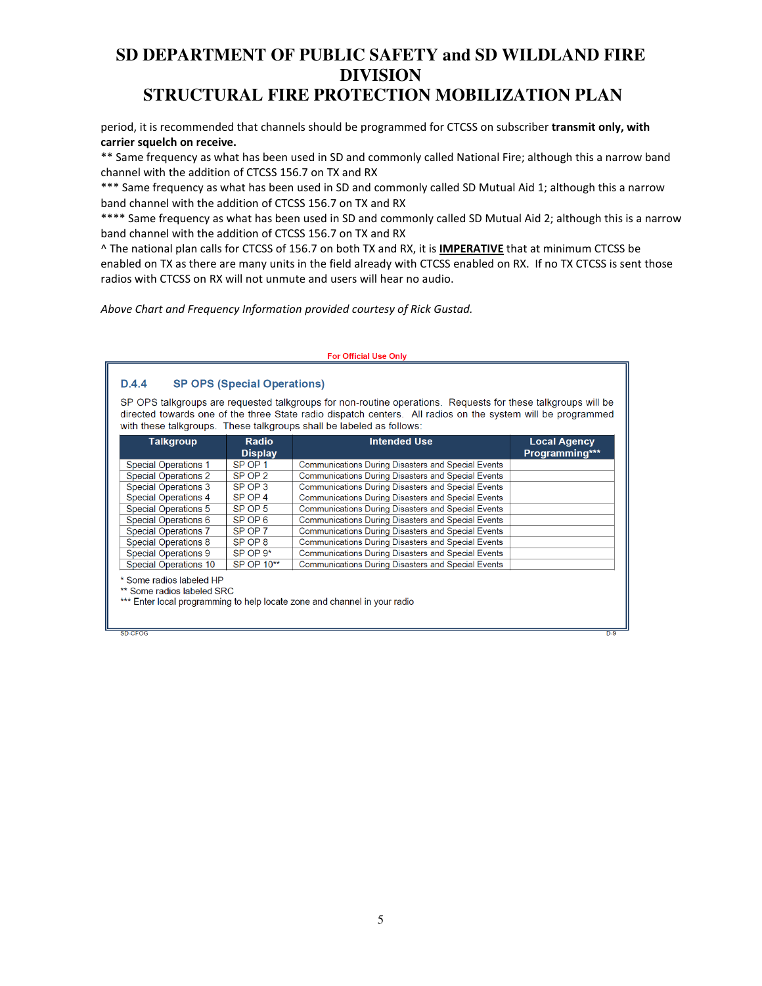period, it is recommended that channels should be programmed for CTCSS on subscriber transmit only, with carrier squelch on receive.

\*\* Same frequency as what has been used in SD and commonly called National Fire; although this a narrow band channel with the addition of CTCSS 156.7 on TX and RX

\*\*\* Same frequency as what has been used in SD and commonly called SD Mutual Aid 1; although this a narrow band channel with the addition of CTCSS 156.7 on TX and RX

\*\*\*\* Same frequency as what has been used in SD and commonly called SD Mutual Aid 2; although this is a narrow band channel with the addition of CTCSS 156.7 on TX and RX

^ The national plan calls for CTCSS of 156.7 on both TX and RX, it is IMPERATIVE that at minimum CTCSS be enabled on TX as there are many units in the field already with CTCSS enabled on RX. If no TX CTCSS is sent those radios with CTCSS on RX will not unmute and users will hear no audio.

Above Chart and Frequency Information provided courtesy of Rick Gustad.

SD-CFOG

#### **For Official Use Only SP OPS (Special Operations)**  $D.4.4$ SP OPS talkgroups are requested talkgroups for non-routine operations. Requests for these talkgroups will be directed towards one of the three State radio dispatch centers. All radios on the system will be programmed with these talkgroups. These talkgroups shall be labeled as follows: Radio **Intended Use Talkgroup Local Agency** Programming\*\*\* **Display Special Operations 1** SP OP 1 Communications During Disasters and Special Events SP OP 2 **Special Operations 2** Communications During Disasters and Special Events SP OP 3 **Special Operations 3** Communications During Disasters and Special Events  $SPOP4$ Communications During Disasters and Special Events Special Operations 4  $SPOP5$ **Special Operations 5** Communications During Disasters and Special Events Special Operations 6  $SPOP6$ Communications During Disasters and Special Events SP OP 7 **Special Operations 7** Communications During Disasters and Special Events Special Operations 8 SP OP 8 Communications During Disasters and Special Events SP OP 9\* Communications During Disasters and Special Events Special Operations 9 SP OP 10\*\* **Special Operations 10** Communications During Disasters and Special Events \* Some radios labeled HP \*\* Some radios labeled SRC \*\*\* Enter local programming to help locate zone and channel in your radio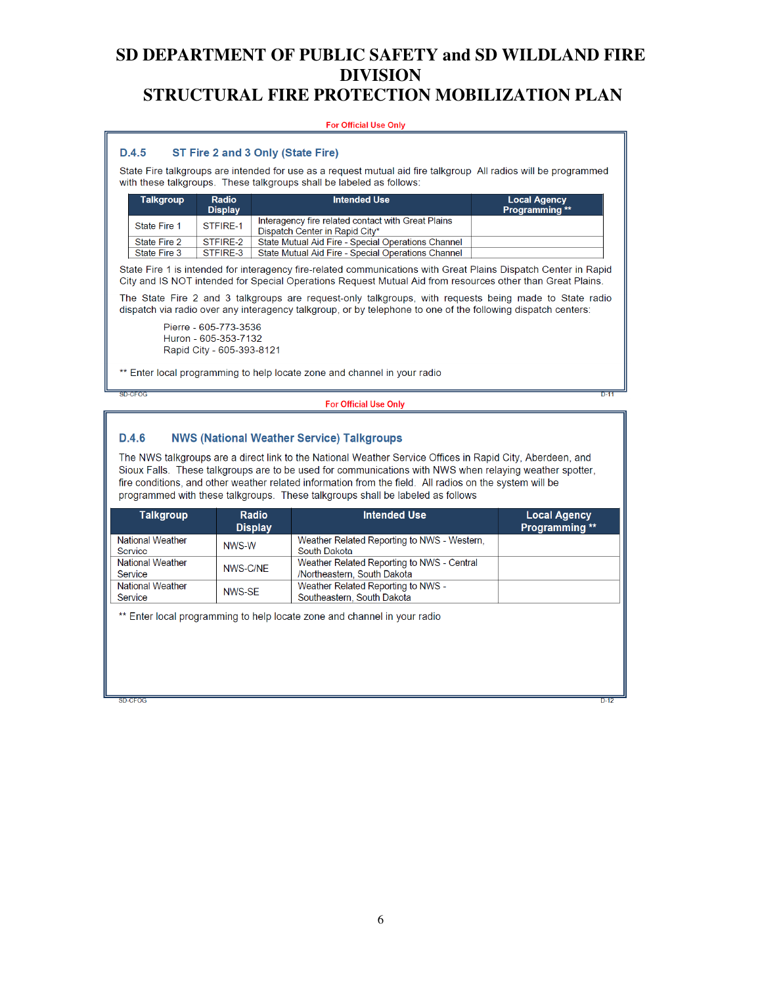#### **For Official Use Only**

#### $D.4.5$ ST Fire 2 and 3 Only (State Fire)

State Fire talkgroups are intended for use as a request mutual aid fire talkgroup All radios will be programmed with these talkgroups. These talkgroups shall be labeled as follows:

| <b>Talkgroup</b> | Radio<br><b>Display</b> | <b>Intended Use</b>                                                                  | <b>Local Agency</b><br><b>Programming</b> ** |
|------------------|-------------------------|--------------------------------------------------------------------------------------|----------------------------------------------|
| State Fire 1     | STFIRF-1                | Interagency fire related contact with Great Plains<br>Dispatch Center in Rapid City* |                                              |
| State Fire 2     | STFIRF-2                | State Mutual Aid Fire - Special Operations Channel                                   |                                              |
| State Fire 3     | STFIRE-3                | State Mutual Aid Fire - Special Operations Channel                                   |                                              |

State Fire 1 is intended for interagency fire-related communications with Great Plains Dispatch Center in Rapid City and IS NOT intended for Special Operations Request Mutual Aid from resources other than Great Plains.

The State Fire 2 and 3 talkgroups are request-only talkgroups, with requests being made to State radio dispatch via radio over any interagency talkgroup, or by telephone to one of the following dispatch centers:

Pierre - 605-773-3536 Huron - 605-353-7132 Rapid City - 605-393-8121

\*\* Enter local programming to help locate zone and channel in your radio

SD-CFOG

#### **For Official Use Only**

#### **NWS (National Weather Service) Talkgroups**  $D.4.6$

The NWS talkgroups are a direct link to the National Weather Service Offices in Rapid City, Aberdeen, and Sioux Falls. These talkgroups are to be used for communications with NWS when relaying weather spotter. fire conditions, and other weather related information from the field. All radios on the system will be programmed with these talkgroups. These talkgroups shall be labeled as follows

| <b>Talkgroup</b>                   | Radio<br><b>Display</b> | <b>Intended Use</b>                                                       | <b>Local Agency</b><br><b>Programming</b> ** |
|------------------------------------|-------------------------|---------------------------------------------------------------------------|----------------------------------------------|
| <b>National Weather</b><br>Service | NWS-W                   | Weather Related Reporting to NWS - Western,<br>South Dakota               |                                              |
| <b>National Weather</b><br>Service | NWS-C/NE                | Weather Related Reporting to NWS - Central<br>/Northeastern, South Dakota |                                              |
| <b>National Weather</b><br>Service | NWS-SF                  | Weather Related Reporting to NWS -<br>Southeastern, South Dakota          |                                              |

\*\* Enter local programming to help locate zone and channel in your radio

 $SD-CFOC$ 

 $\overline{\mathbf{D}A}$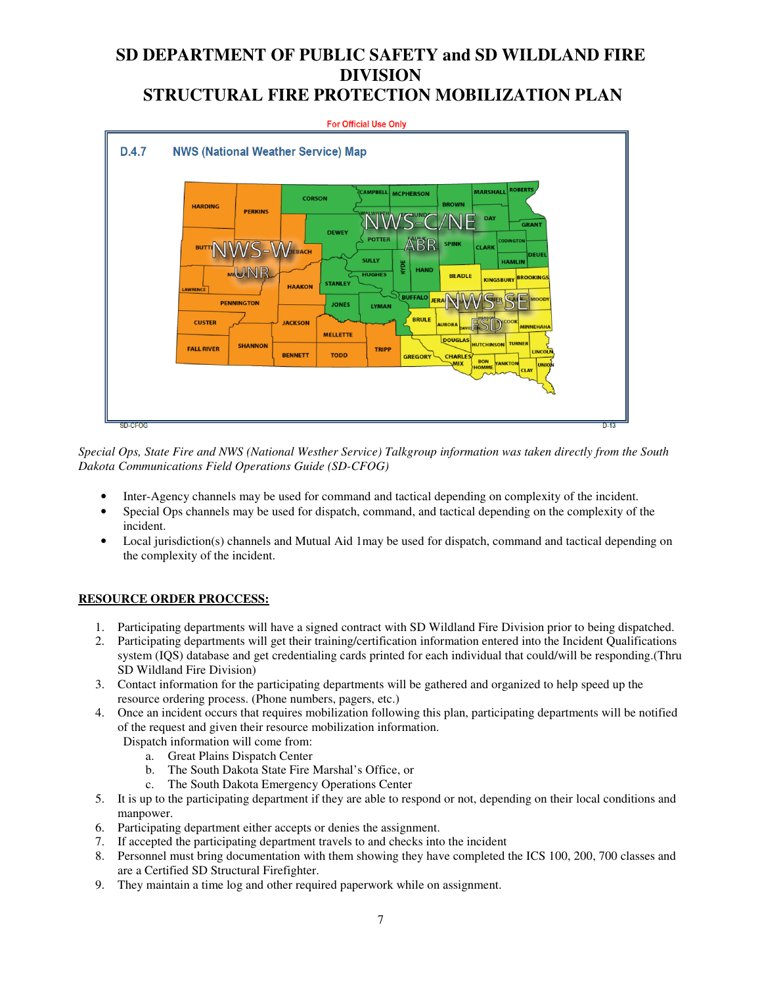

*Special Ops, State Fire and NWS (National Westher Service) Talkgroup information was taken directly from the South Dakota Communications Field Operations Guide (SD-CFOG)* 

- Inter-Agency channels may be used for command and tactical depending on complexity of the incident.
- Special Ops channels may be used for dispatch, command, and tactical depending on the complexity of the incident.
- Local jurisdiction(s) channels and Mutual Aid 1may be used for dispatch, command and tactical depending on the complexity of the incident.

## **RESOURCE ORDER PROCCESS:**

- 1. Participating departments will have a signed contract with SD Wildland Fire Division prior to being dispatched.
- 2. Participating departments will get their training/certification information entered into the Incident Qualifications system (IQS) database and get credentialing cards printed for each individual that could/will be responding.(Thru SD Wildland Fire Division)
- 3. Contact information for the participating departments will be gathered and organized to help speed up the resource ordering process. (Phone numbers, pagers, etc.)
- 4. Once an incident occurs that requires mobilization following this plan, participating departments will be notified of the request and given their resource mobilization information.
	- Dispatch information will come from:
		- a. Great Plains Dispatch Center
		- b. The South Dakota State Fire Marshal's Office, or
		- c. The South Dakota Emergency Operations Center
- 5. It is up to the participating department if they are able to respond or not, depending on their local conditions and manpower.
- 6. Participating department either accepts or denies the assignment.
- 7. If accepted the participating department travels to and checks into the incident
- 8. Personnel must bring documentation with them showing they have completed the ICS 100, 200, 700 classes and are a Certified SD Structural Firefighter.
- 9. They maintain a time log and other required paperwork while on assignment.